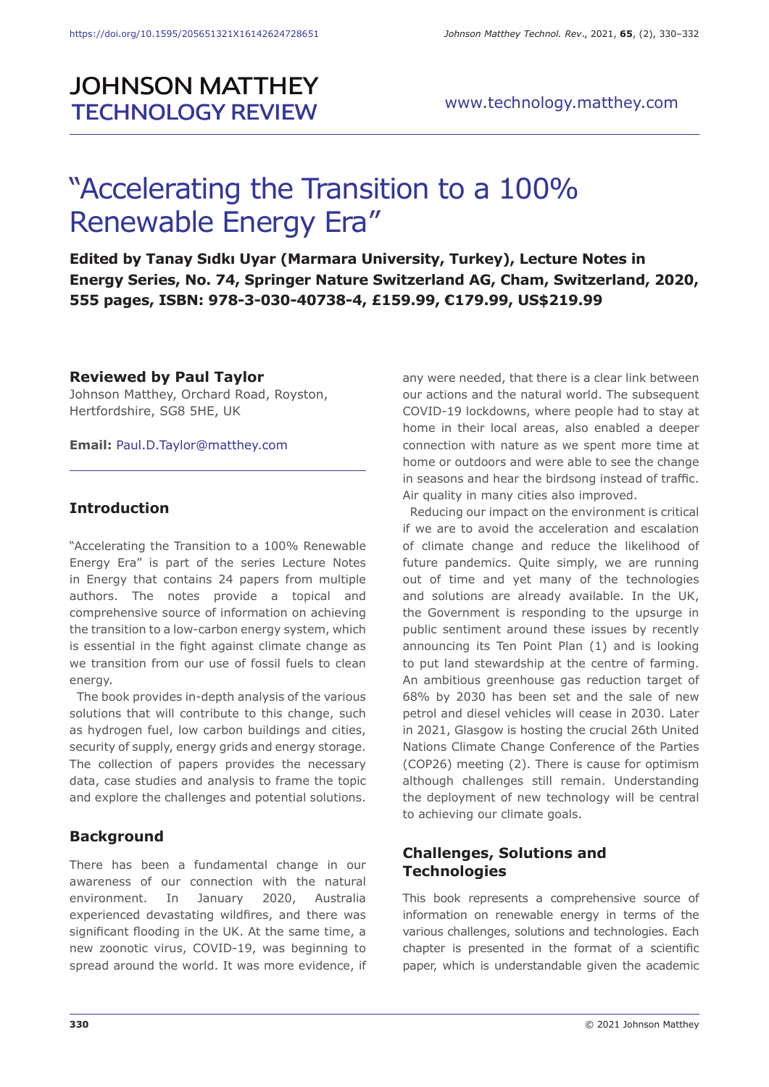# **JOHNSON MATTHEY TECHNOLOGY REVIEW**

# "Accelerating the Transition to a 100% Renewable Energy Era"

**Edited by Tanay Sıdkı Uyar (Marmara University, Turkey), Lecture Notes in Energy Series, No. 74, Springer Nature Switzerland AG, Cham, Switzerland, 2020, 555 pages, ISBN: 978-3-030-40738-4, £159.99, €179.99, US\$219.99**

#### **Reviewed by Paul Taylor**

Johnson Matthey, Orchard Road, Royston, Hertfordshire, SG8 5HE, UK

**Email:** Paul.D.Taylor@matthey.com

## **Introduction**

"Accelerating the Transition to a 100% Renewable Energy Era" is part of the series Lecture Notes in Energy that contains 24 papers from multiple authors. The notes provide a topical and comprehensive source of information on achieving the transition to a low-carbon energy system, which is essential in the fight against climate change as we transition from our use of fossil fuels to clean energy.

The book provides in-depth analysis of the various solutions that will contribute to this change, such as hydrogen fuel, low carbon buildings and cities, security of supply, energy grids and energy storage. The collection of papers provides the necessary data, case studies and analysis to frame the topic and explore the challenges and potential solutions.

# **Background**

There has been a fundamental change in our awareness of our connection with the natural environment. In January 2020, Australia experienced devastating wildfires, and there was significant flooding in the UK. At the same time, a new zoonotic virus, COVID-19, was beginning to spread around the world. It was more evidence, if any were needed, that there is a clear link between our actions and the natural world. The subsequent COVID-19 lockdowns, where people had to stay at home in their local areas, also enabled a deeper connection with nature as we spent more time at home or outdoors and were able to see the change in seasons and hear the birdsong instead of traffic. Air quality in many cities also improved.

Reducing our impact on the environment is critical if we are to avoid the acceleration and escalation of climate change and reduce the likelihood of future pandemics. Quite simply, we are running out of time and yet many of the technologies and solutions are already available. In the UK, the Government is responding to the upsurge in public sentiment around these issues by recently announcing its Ten Point Plan (1) and is looking to put land stewardship at the centre of farming. An ambitious greenhouse gas reduction target of 68% by 2030 has been set and the sale of new petrol and diesel vehicles will cease in 2030. Later in 2021, Glasgow is hosting the crucial 26th United Nations Climate Change Conference of the Parties (COP26) meeting (2). There is cause for optimism although challenges still remain. Understanding the deployment of new technology will be central to achieving our climate goals.

# **Challenges, Solutions and Technologies**

This book represents a comprehensive source of information on renewable energy in terms of the various challenges, solutions and technologies. Each chapter is presented in the format of a scientific paper, which is understandable given the academic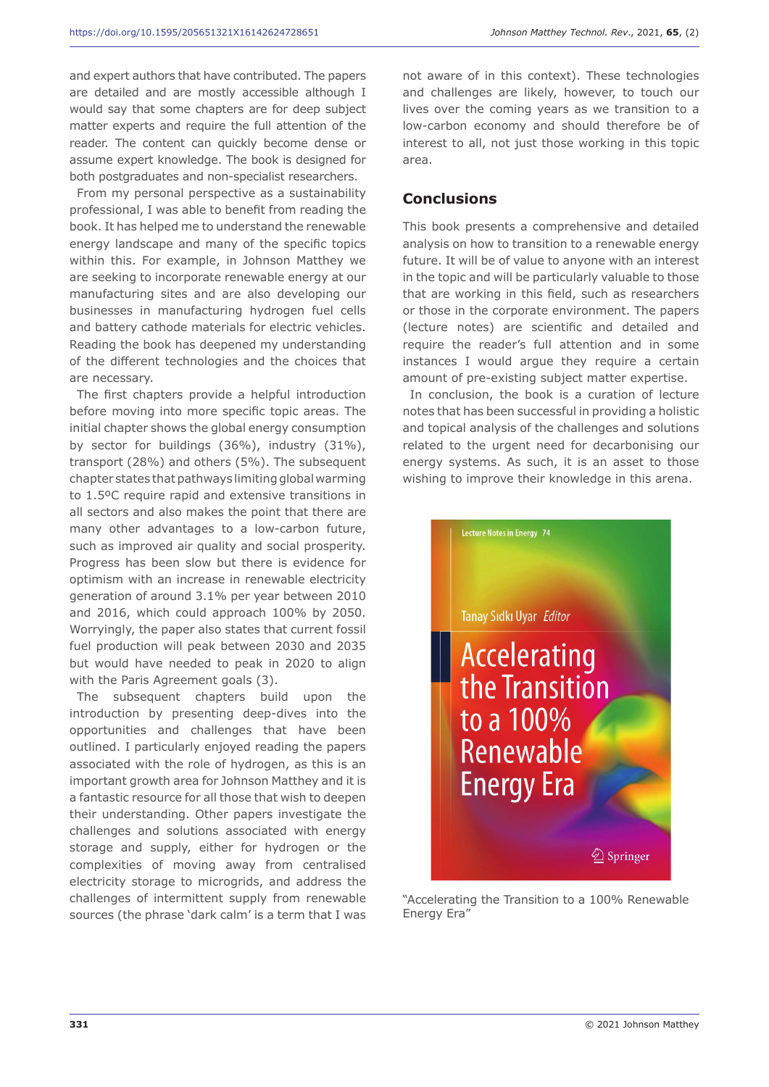and expert authors that have contributed. The papers are detailed and are mostly accessible although I would say that some chapters are for deep subject matter experts and require the full attention of the reader. The content can quickly become dense or assume expert knowledge. The book is designed for both postgraduates and non-specialist researchers.

From my personal perspective as a sustainability professional, I was able to benefit from reading the book. It has helped me to understand the renewable energy landscape and many of the specific topics within this. For example, in Johnson Matthey we are seeking to incorporate renewable energy at our manufacturing sites and are also developing our businesses in manufacturing hydrogen fuel cells and battery cathode materials for electric vehicles. Reading the book has deepened my understanding of the different technologies and the choices that are necessary.

The first chapters provide a helpful introduction before moving into more specific topic areas. The initial chapter shows the global energy consumption by sector for buildings (36%), industry (31%), transport (28%) and others (5%). The subsequent chapter states that pathways limiting global warming to 1.5ºC require rapid and extensive transitions in all sectors and also makes the point that there are many other advantages to a low-carbon future, such as improved air quality and social prosperity. Progress has been slow but there is evidence for optimism with an increase in renewable electricity generation of around 3.1% per year between 2010 and 2016, which could approach 100% by 2050. Worryingly, the paper also states that current fossil fuel production will peak between 2030 and 2035 but would have needed to peak in 2020 to align with the Paris Agreement goals (3).

The subsequent chapters build upon the introduction by presenting deep-dives into the opportunities and challenges that have been outlined. I particularly enjoyed reading the papers associated with the role of hydrogen, as this is an important growth area for Johnson Matthey and it is a fantastic resource for all those that wish to deepen their understanding. Other papers investigate the challenges and solutions associated with energy storage and supply, either for hydrogen or the complexities of moving away from centralised electricity storage to microgrids, and address the challenges of intermittent supply from renewable sources (the phrase 'dark calm' is a term that I was not aware of in this context). These technologies and challenges are likely, however, to touch our lives over the coming years as we transition to a low-carbon economy and should therefore be of interest to all, not just those working in this topic area.

### **Conclusions**

This book presents a comprehensive and detailed analysis on how to transition to a renewable energy future. It will be of value to anyone with an interest in the topic and will be particularly valuable to those that are working in this field, such as researchers or those in the corporate environment. The papers (lecture notes) are scientific and detailed and require the reader's full attention and in some instances I would argue they require a certain amount of pre-existing subject matter expertise.

In conclusion, the book is a curation of lecture notes that has been successful in providing a holistic and topical analysis of the challenges and solutions related to the urgent need for decarbonising our energy systems. As such, it is an asset to those wishing to improve their knowledge in this arena.



"Accelerating the Transition to a 100% Renewable Energy Era"